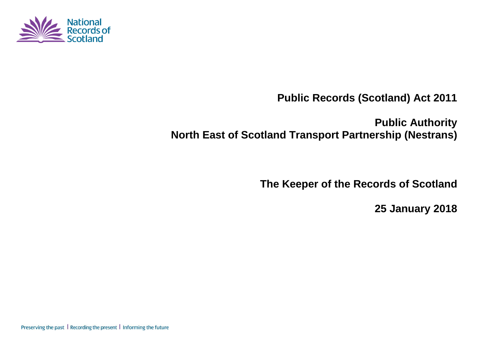

**Public Records (Scotland) Act 2011**

**Public Authority North East of Scotland Transport Partnership (Nestrans)**

**The Keeper of the Records of Scotland**

**25 January 2018**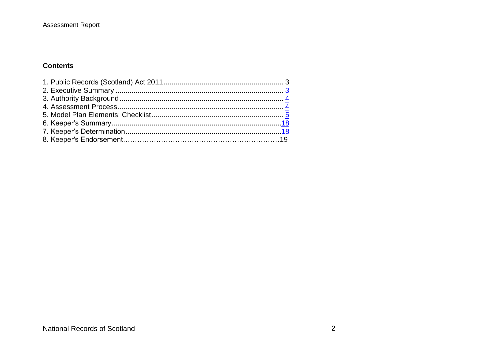#### Assessment Report

#### **Contents**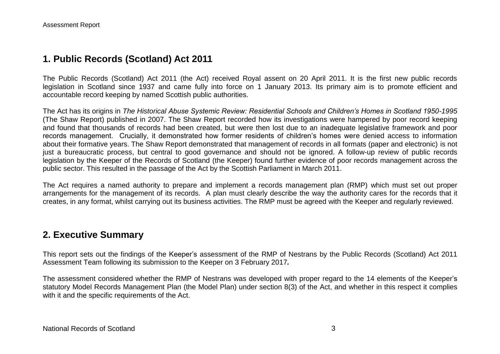## **1. Public Records (Scotland) Act 2011**

The Public Records (Scotland) Act 2011 (the Act) received Royal assent on 20 April 2011. It is the first new public records legislation in Scotland since 1937 and came fully into force on 1 January 2013. Its primary aim is to promote efficient and accountable record keeping by named Scottish public authorities.

The Act has its origins in *The Historical Abuse Systemic Review: Residential Schools and Children's Homes in Scotland 1950-1995* (The Shaw Report) published in 2007. The Shaw Report recorded how its investigations were hampered by poor record keeping and found that thousands of records had been created, but were then lost due to an inadequate legislative framework and poor records management. Crucially, it demonstrated how former residents of children's homes were denied access to information about their formative years. The Shaw Report demonstrated that management of records in all formats (paper and electronic) is not just a bureaucratic process, but central to good governance and should not be ignored. A follow-up review of public records legislation by the Keeper of the Records of Scotland (the Keeper) found further evidence of poor records management across the public sector. This resulted in the passage of the Act by the Scottish Parliament in March 2011.

The Act requires a named authority to prepare and implement a records management plan (RMP) which must set out proper arrangements for the management of its records. A plan must clearly describe the way the authority cares for the records that it creates, in any format, whilst carrying out its business activities. The RMP must be agreed with the Keeper and regularly reviewed.

### **2. Executive Summary**

This report sets out the findings of the Keeper's assessment of the RMP of Nestrans by the Public Records (Scotland) Act 2011 Assessment Team following its submission to the Keeper on 3 February 2017*.*

The assessment considered whether the RMP of Nestrans was developed with proper regard to the 14 elements of the Keeper's statutory Model Records Management Plan (the Model Plan) under section 8(3) of the Act, and whether in this respect it complies with it and the specific requirements of the Act.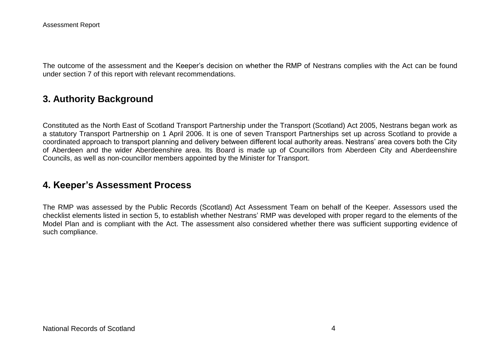The outcome of the assessment and the Keeper's decision on whether the RMP of Nestrans complies with the Act can be found under section 7 of this report with relevant recommendations.

## **3. Authority Background**

Constituted as the North East of Scotland Transport Partnership under the Transport (Scotland) Act 2005, Nestrans began work as a statutory Transport Partnership on 1 April 2006. It is one of seven Transport Partnerships set up across Scotland to provide a coordinated approach to transport planning and delivery between different local authority areas. Nestrans' area covers both the City of Aberdeen and the wider Aberdeenshire area. Its Board is made up of Councillors from Aberdeen City and Aberdeenshire Councils, as well as non-councillor members appointed by the Minister for Transport.

### **4. Keeper's Assessment Process**

The RMP was assessed by the Public Records (Scotland) Act Assessment Team on behalf of the Keeper. Assessors used the checklist elements listed in section 5, to establish whether Nestrans' RMP was developed with proper regard to the elements of the Model Plan and is compliant with the Act. The assessment also considered whether there was sufficient supporting evidence of such compliance.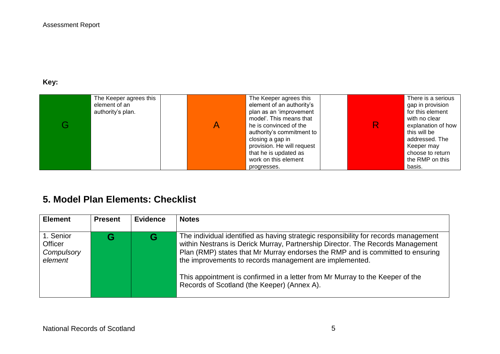## **Key:**

| The Keeper agrees this<br>element of an<br>authority's plan. | The Keeper agrees this<br>element of an authority's<br>plan as an 'improvement<br>model'. This means that<br>he is convinced of the<br>authority's commitment to<br>closing a gap in<br>provision. He will request<br>that he is updated as |  | There is a serious<br>gap in provision<br>for this element<br>with no clear<br>explanation of how<br>this will be<br>addressed. The<br>Keeper may<br>choose to return |
|--------------------------------------------------------------|---------------------------------------------------------------------------------------------------------------------------------------------------------------------------------------------------------------------------------------------|--|-----------------------------------------------------------------------------------------------------------------------------------------------------------------------|
|                                                              | work on this element<br>progresses.                                                                                                                                                                                                         |  | the RMP on this<br>basis.                                                                                                                                             |

# **5. Model Plan Elements: Checklist**

| <b>Element</b>                                       | <b>Present</b> | <b>Evidence</b> | <b>Notes</b>                                                                                                                                                                                                                                                                                                                                                                                                                                       |
|------------------------------------------------------|----------------|-----------------|----------------------------------------------------------------------------------------------------------------------------------------------------------------------------------------------------------------------------------------------------------------------------------------------------------------------------------------------------------------------------------------------------------------------------------------------------|
| 1. Senior<br><b>Officer</b><br>Compulsory<br>element |                | G               | The individual identified as having strategic responsibility for records management<br>within Nestrans is Derick Murray, Partnership Director. The Records Management<br>Plan (RMP) states that Mr Murray endorses the RMP and is committed to ensuring<br>the improvements to records management are implemented.<br>This appointment is confirmed in a letter from Mr Murray to the Keeper of the<br>Records of Scotland (the Keeper) (Annex A). |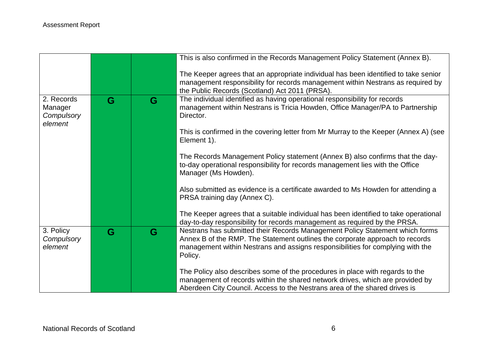|                                                |   |   | This is also confirmed in the Records Management Policy Statement (Annex B).                                                                                                                                                                              |
|------------------------------------------------|---|---|-----------------------------------------------------------------------------------------------------------------------------------------------------------------------------------------------------------------------------------------------------------|
|                                                |   |   | The Keeper agrees that an appropriate individual has been identified to take senior<br>management responsibility for records management within Nestrans as required by<br>the Public Records (Scotland) Act 2011 (PRSA).                                  |
| 2. Records<br>Manager<br>Compulsory<br>element | G | G | The individual identified as having operational responsibility for records<br>management within Nestrans is Tricia Howden, Office Manager/PA to Partnership<br>Director.                                                                                  |
|                                                |   |   | This is confirmed in the covering letter from Mr Murray to the Keeper (Annex A) (see<br>Element 1).                                                                                                                                                       |
|                                                |   |   | The Records Management Policy statement (Annex B) also confirms that the day-<br>to-day operational responsibility for records management lies with the Office<br>Manager (Ms Howden).                                                                    |
|                                                |   |   | Also submitted as evidence is a certificate awarded to Ms Howden for attending a<br>PRSA training day (Annex C).                                                                                                                                          |
|                                                |   |   | The Keeper agrees that a suitable individual has been identified to take operational<br>day-to-day responsibility for records management as required by the PRSA.                                                                                         |
| 3. Policy<br>Compulsory<br>element             | G | G | Nestrans has submitted their Records Management Policy Statement which forms<br>Annex B of the RMP. The Statement outlines the corporate approach to records<br>management within Nestrans and assigns responsibilities for complying with the<br>Policy. |
|                                                |   |   | The Policy also describes some of the procedures in place with regards to the<br>management of records within the shared network drives, which are provided by<br>Aberdeen City Council. Access to the Nestrans area of the shared drives is              |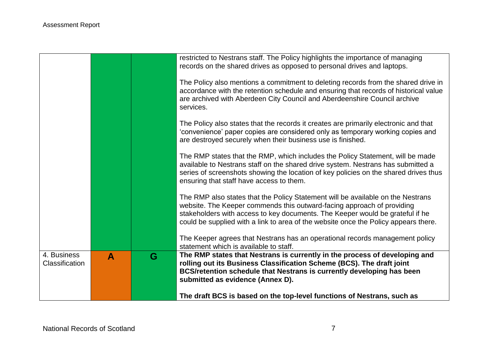|                               |   |   | restricted to Nestrans staff. The Policy highlights the importance of managing<br>records on the shared drives as opposed to personal drives and laptops.                                                                                                                                                                         |
|-------------------------------|---|---|-----------------------------------------------------------------------------------------------------------------------------------------------------------------------------------------------------------------------------------------------------------------------------------------------------------------------------------|
|                               |   |   | The Policy also mentions a commitment to deleting records from the shared drive in<br>accordance with the retention schedule and ensuring that records of historical value<br>are archived with Aberdeen City Council and Aberdeenshire Council archive<br>services.                                                              |
|                               |   |   | The Policy also states that the records it creates are primarily electronic and that<br>'convenience' paper copies are considered only as temporary working copies and<br>are destroyed securely when their business use is finished.                                                                                             |
|                               |   |   | The RMP states that the RMP, which includes the Policy Statement, will be made<br>available to Nestrans staff on the shared drive system. Nestrans has submitted a<br>series of screenshots showing the location of key policies on the shared drives thus<br>ensuring that staff have access to them.                            |
|                               |   |   | The RMP also states that the Policy Statement will be available on the Nestrans<br>website. The Keeper commends this outward-facing approach of providing<br>stakeholders with access to key documents. The Keeper would be grateful if he<br>could be supplied with a link to area of the website once the Policy appears there. |
|                               |   |   | The Keeper agrees that Nestrans has an operational records management policy<br>statement which is available to staff.                                                                                                                                                                                                            |
| 4. Business<br>Classification | A | G | The RMP states that Nestrans is currently in the process of developing and<br>rolling out its Business Classification Scheme (BCS). The draft joint<br>BCS/retention schedule that Nestrans is currently developing has been<br>submitted as evidence (Annex D).                                                                  |
|                               |   |   | The draft BCS is based on the top-level functions of Nestrans, such as                                                                                                                                                                                                                                                            |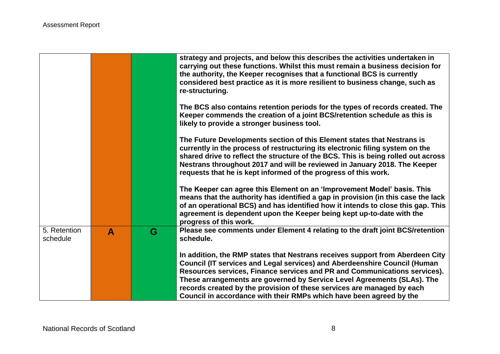|                          |              |   | strategy and projects, and below this describes the activities undertaken in<br>carrying out these functions. Whilst this must remain a business decision for<br>the authority, the Keeper recognises that a functional BCS is currently<br>considered best practice as it is more resilient to business change, such as<br>re-structuring.                                                                                                                         |
|--------------------------|--------------|---|---------------------------------------------------------------------------------------------------------------------------------------------------------------------------------------------------------------------------------------------------------------------------------------------------------------------------------------------------------------------------------------------------------------------------------------------------------------------|
|                          |              |   | The BCS also contains retention periods for the types of records created. The<br>Keeper commends the creation of a joint BCS/retention schedule as this is<br>likely to provide a stronger business tool.                                                                                                                                                                                                                                                           |
|                          |              |   | The Future Developments section of this Element states that Nestrans is<br>currently in the process of restructuring its electronic filing system on the<br>shared drive to reflect the structure of the BCS. This is being rolled out across<br>Nestrans throughout 2017 and will be reviewed in January 2018. The Keeper<br>requests that he is kept informed of the progress of this work.                                                                       |
|                          |              |   | The Keeper can agree this Element on an 'Improvement Model' basis. This<br>means that the authority has identified a gap in provision (in this case the lack<br>of an operational BCS) and has identified how it intends to close this gap. This<br>agreement is dependent upon the Keeper being kept up-to-date with the<br>progress of this work.                                                                                                                 |
| 5. Retention<br>schedule | $\mathbf{A}$ | G | Please see comments under Element 4 relating to the draft joint BCS/retention<br>schedule.                                                                                                                                                                                                                                                                                                                                                                          |
|                          |              |   | In addition, the RMP states that Nestrans receives support from Aberdeen City<br>Council (IT services and Legal services) and Aberdeenshire Council (Human<br>Resources services, Finance services and PR and Communications services).<br>These arrangements are governed by Service Level Agreements (SLAs). The<br>records created by the provision of these services are managed by each<br>Council in accordance with their RMPs which have been agreed by the |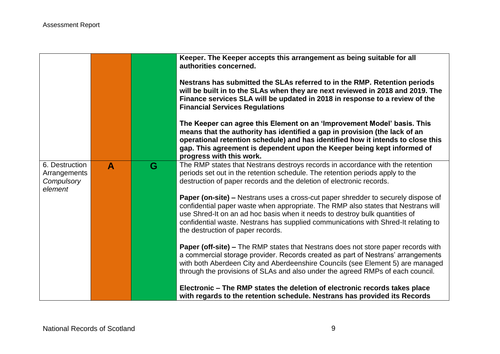|                                |              |   | Keeper. The Keeper accepts this arrangement as being suitable for all<br>authorities concerned.<br>Nestrans has submitted the SLAs referred to in the RMP. Retention periods<br>will be built in to the SLAs when they are next reviewed in 2018 and 2019. The<br>Finance services SLA will be updated in 2018 in response to a review of the<br><b>Financial Services Regulations</b><br>The Keeper can agree this Element on an 'Improvement Model' basis. This<br>means that the authority has identified a gap in provision (the lack of an<br>operational retention schedule) and has identified how it intends to close this<br>gap. This agreement is dependent upon the Keeper being kept informed of<br>progress with this work. |
|--------------------------------|--------------|---|-------------------------------------------------------------------------------------------------------------------------------------------------------------------------------------------------------------------------------------------------------------------------------------------------------------------------------------------------------------------------------------------------------------------------------------------------------------------------------------------------------------------------------------------------------------------------------------------------------------------------------------------------------------------------------------------------------------------------------------------|
| 6. Destruction<br>Arrangements | $\mathbf{A}$ | G | The RMP states that Nestrans destroys records in accordance with the retention<br>periods set out in the retention schedule. The retention periods apply to the                                                                                                                                                                                                                                                                                                                                                                                                                                                                                                                                                                           |
| Compulsory<br>element          |              |   | destruction of paper records and the deletion of electronic records.                                                                                                                                                                                                                                                                                                                                                                                                                                                                                                                                                                                                                                                                      |
|                                |              |   | <b>Paper (on-site) – Nestrans uses a cross-cut paper shredder to securely dispose of</b><br>confidential paper waste when appropriate. The RMP also states that Nestrans will                                                                                                                                                                                                                                                                                                                                                                                                                                                                                                                                                             |
|                                |              |   | use Shred-It on an ad hoc basis when it needs to destroy bulk quantities of                                                                                                                                                                                                                                                                                                                                                                                                                                                                                                                                                                                                                                                               |
|                                |              |   | confidential waste. Nestrans has supplied communications with Shred-It relating to<br>the destruction of paper records.                                                                                                                                                                                                                                                                                                                                                                                                                                                                                                                                                                                                                   |
|                                |              |   | <b>Paper (off-site) –</b> The RMP states that Nestrans does not store paper records with<br>a commercial storage provider. Records created as part of Nestrans' arrangements                                                                                                                                                                                                                                                                                                                                                                                                                                                                                                                                                              |
|                                |              |   | with both Aberdeen City and Aberdeenshire Councils (see Element 5) are managed                                                                                                                                                                                                                                                                                                                                                                                                                                                                                                                                                                                                                                                            |
|                                |              |   | through the provisions of SLAs and also under the agreed RMPs of each council.                                                                                                                                                                                                                                                                                                                                                                                                                                                                                                                                                                                                                                                            |
|                                |              |   | Electronic - The RMP states the deletion of electronic records takes place<br>with regards to the retention schedule. Nestrans has provided its Records                                                                                                                                                                                                                                                                                                                                                                                                                                                                                                                                                                                   |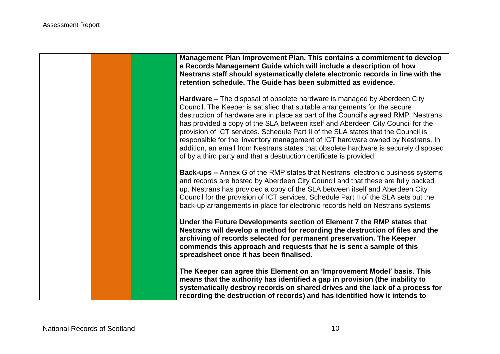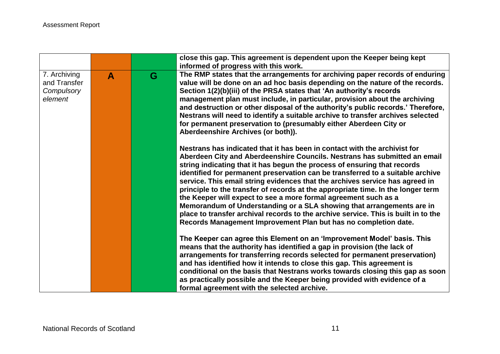|                                                       |                  |   | close this gap. This agreement is dependent upon the Keeper being kept<br>informed of progress with this work.                                                                                                                                                                                                                                                                                                                                                                                                                                                                                                                                                                                                                                                                                |
|-------------------------------------------------------|------------------|---|-----------------------------------------------------------------------------------------------------------------------------------------------------------------------------------------------------------------------------------------------------------------------------------------------------------------------------------------------------------------------------------------------------------------------------------------------------------------------------------------------------------------------------------------------------------------------------------------------------------------------------------------------------------------------------------------------------------------------------------------------------------------------------------------------|
| 7. Archiving<br>and Transfer<br>Compulsory<br>element | $\blacktriangle$ | G | The RMP states that the arrangements for archiving paper records of enduring<br>value will be done on an ad hoc basis depending on the nature of the records.<br>Section 1(2)(b)(iii) of the PRSA states that 'An authority's records<br>management plan must include, in particular, provision about the archiving<br>and destruction or other disposal of the authority's public records.' Therefore,<br>Nestrans will need to identify a suitable archive to transfer archives selected<br>for permanent preservation to (presumably either Aberdeen City or<br>Aberdeenshire Archives (or both)).                                                                                                                                                                                         |
|                                                       |                  |   | Nestrans has indicated that it has been in contact with the archivist for<br>Aberdeen City and Aberdeenshire Councils. Nestrans has submitted an email<br>string indicating that it has begun the process of ensuring that records<br>identified for permanent preservation can be transferred to a suitable archive<br>service. This email string evidences that the archives service has agreed in<br>principle to the transfer of records at the appropriate time. In the longer term<br>the Keeper will expect to see a more formal agreement such as a<br>Memorandum of Understanding or a SLA showing that arrangements are in<br>place to transfer archival records to the archive service. This is built in to the<br>Records Management Improvement Plan but has no completion date. |
|                                                       |                  |   | The Keeper can agree this Element on an 'Improvement Model' basis. This<br>means that the authority has identified a gap in provision (the lack of<br>arrangements for transferring records selected for permanent preservation)<br>and has identified how it intends to close this gap. This agreement is<br>conditional on the basis that Nestrans works towards closing this gap as soon<br>as practically possible and the Keeper being provided with evidence of a<br>formal agreement with the selected archive.                                                                                                                                                                                                                                                                        |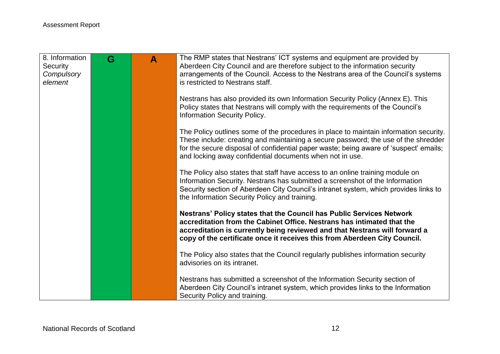| 8. Information<br>Security<br>Compulsory | G | A | The RMP states that Nestrans' ICT systems and equipment are provided by<br>Aberdeen City Council and are therefore subject to the information security<br>arrangements of the Council. Access to the Nestrans area of the Council's systems                                                                                      |
|------------------------------------------|---|---|----------------------------------------------------------------------------------------------------------------------------------------------------------------------------------------------------------------------------------------------------------------------------------------------------------------------------------|
| element                                  |   |   | is restricted to Nestrans staff.                                                                                                                                                                                                                                                                                                 |
|                                          |   |   | Nestrans has also provided its own Information Security Policy (Annex E). This<br>Policy states that Nestrans will comply with the requirements of the Council's<br>Information Security Policy.                                                                                                                                 |
|                                          |   |   | The Policy outlines some of the procedures in place to maintain information security.<br>These include: creating and maintaining a secure password; the use of the shredder<br>for the secure disposal of confidential paper waste; being aware of 'suspect' emails;<br>and locking away confidential documents when not in use. |
|                                          |   |   | The Policy also states that staff have access to an online training module on<br>Information Security. Nestrans has submitted a screenshot of the Information<br>Security section of Aberdeen City Council's intranet system, which provides links to<br>the Information Security Policy and training.                           |
|                                          |   |   | Nestrans' Policy states that the Council has Public Services Network<br>accreditation from the Cabinet Office. Nestrans has intimated that the<br>accreditation is currently being reviewed and that Nestrans will forward a<br>copy of the certificate once it receives this from Aberdeen City Council.                        |
|                                          |   |   | The Policy also states that the Council regularly publishes information security<br>advisories on its intranet.                                                                                                                                                                                                                  |
|                                          |   |   | Nestrans has submitted a screenshot of the Information Security section of<br>Aberdeen City Council's intranet system, which provides links to the Information<br>Security Policy and training.                                                                                                                                  |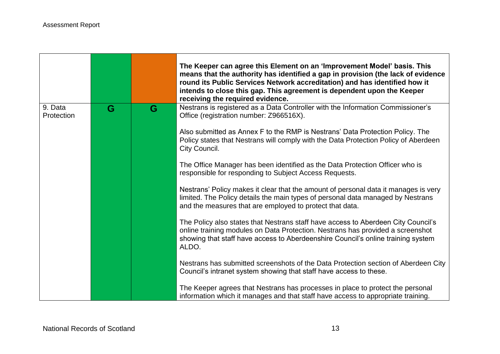- 17

<u> 1989 - Jan Samuel Barbara, martin da shekara tsa a shekara tsa a tsa a tsa a tsa a tsa a tsa a tsa a tsa a t</u>

|                       |   |   | The Keeper can agree this Element on an 'Improvement Model' basis. This<br>means that the authority has identified a gap in provision (the lack of evidence<br>round its Public Services Network accreditation) and has identified how it<br>intends to close this gap. This agreement is dependent upon the Keeper<br>receiving the required evidence. |
|-----------------------|---|---|---------------------------------------------------------------------------------------------------------------------------------------------------------------------------------------------------------------------------------------------------------------------------------------------------------------------------------------------------------|
| 9. Data<br>Protection | G | G | Nestrans is registered as a Data Controller with the Information Commissioner's<br>Office (registration number: Z966516X).                                                                                                                                                                                                                              |
|                       |   |   | Also submitted as Annex F to the RMP is Nestrans' Data Protection Policy. The<br>Policy states that Nestrans will comply with the Data Protection Policy of Aberdeen<br>City Council.                                                                                                                                                                   |
|                       |   |   | The Office Manager has been identified as the Data Protection Officer who is<br>responsible for responding to Subject Access Requests.                                                                                                                                                                                                                  |
|                       |   |   | Nestrans' Policy makes it clear that the amount of personal data it manages is very<br>limited. The Policy details the main types of personal data managed by Nestrans<br>and the measures that are employed to protect that data.                                                                                                                      |
|                       |   |   | The Policy also states that Nestrans staff have access to Aberdeen City Council's<br>online training modules on Data Protection. Nestrans has provided a screenshot<br>showing that staff have access to Aberdeenshire Council's online training system<br>ALDO.                                                                                        |
|                       |   |   | Nestrans has submitted screenshots of the Data Protection section of Aberdeen City<br>Council's intranet system showing that staff have access to these.                                                                                                                                                                                                |
|                       |   |   | The Keeper agrees that Nestrans has processes in place to protect the personal<br>information which it manages and that staff have access to appropriate training.                                                                                                                                                                                      |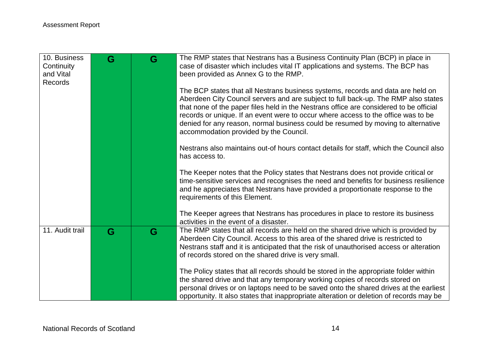| 10. Business<br>Continuity<br>and Vital | G | G | The RMP states that Nestrans has a Business Continuity Plan (BCP) in place in<br>case of disaster which includes vital IT applications and systems. The BCP has<br>been provided as Annex G to the RMP.                                                                                                                                                                                                                                                                            |
|-----------------------------------------|---|---|------------------------------------------------------------------------------------------------------------------------------------------------------------------------------------------------------------------------------------------------------------------------------------------------------------------------------------------------------------------------------------------------------------------------------------------------------------------------------------|
| Records                                 |   |   |                                                                                                                                                                                                                                                                                                                                                                                                                                                                                    |
|                                         |   |   | The BCP states that all Nestrans business systems, records and data are held on<br>Aberdeen City Council servers and are subject to full back-up. The RMP also states<br>that none of the paper files held in the Nestrans office are considered to be official<br>records or unique. If an event were to occur where access to the office was to be<br>denied for any reason, normal business could be resumed by moving to alternative<br>accommodation provided by the Council. |
|                                         |   |   | Nestrans also maintains out-of hours contact details for staff, which the Council also<br>has access to.                                                                                                                                                                                                                                                                                                                                                                           |
|                                         |   |   | The Keeper notes that the Policy states that Nestrans does not provide critical or<br>time-sensitive services and recognises the need and benefits for business resilience<br>and he appreciates that Nestrans have provided a proportionate response to the<br>requirements of this Element.                                                                                                                                                                                      |
|                                         |   |   | The Keeper agrees that Nestrans has procedures in place to restore its business<br>activities in the event of a disaster.                                                                                                                                                                                                                                                                                                                                                          |
| 11. Audit trail                         | G | G | The RMP states that all records are held on the shared drive which is provided by<br>Aberdeen City Council. Access to this area of the shared drive is restricted to<br>Nestrans staff and it is anticipated that the risk of unauthorised access or alteration<br>of records stored on the shared drive is very small.                                                                                                                                                            |
|                                         |   |   | The Policy states that all records should be stored in the appropriate folder within<br>the shared drive and that any temporary working copies of records stored on<br>personal drives or on laptops need to be saved onto the shared drives at the earliest<br>opportunity. It also states that inappropriate alteration or deletion of records may be                                                                                                                            |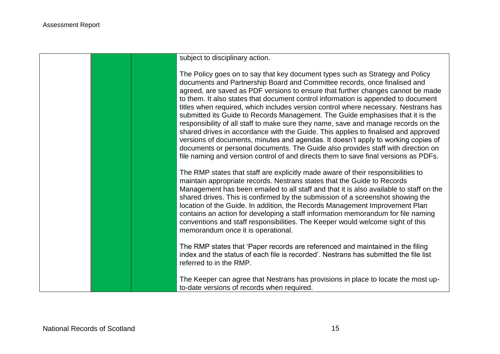subject to disciplinary action.

The Policy goes on to say that key document types such as Strategy and Policy documents and Partnership Board and Committee records, once finalised and agreed, are saved as PDF versions to ensure that further changes cannot be made to them. It also states that document control information is appended to document titles when required, which includes version control where necessary. Nestrans has submitted its Guide to Records Management. The Guide emphasises that it is the responsibility of all staff to make sure they name, save and manage records on the shared drives in accordance with the Guide. This applies to finalised and approved versions of documents, minutes and agendas. It doesn't apply to working copies of documents or personal documents. The Guide also provides staff with direction on file naming and version control of and directs them to save final versions as PDFs.

The RMP states that staff are explicitly made aware of their responsibilities to maintain appropriate records. Nestrans states that the Guide to Records Management has been emailed to all staff and that it is also available to staff on the shared drives. This is confirmed by the submission of a screenshot showing the location of the Guide. In addition, the Records Management Improvement Plan contains an action for developing a staff information memorandum for file naming conventions and staff responsibilities. The Keeper would welcome sight of this memorandum once it is operational.

The RMP states that 'Paper records are referenced and maintained in the filing index and the status of each file is recorded'. Nestrans has submitted the file list referred to in the RMP.

The Keeper can agree that Nestrans has provisions in place to locate the most upto-date versions of records when required.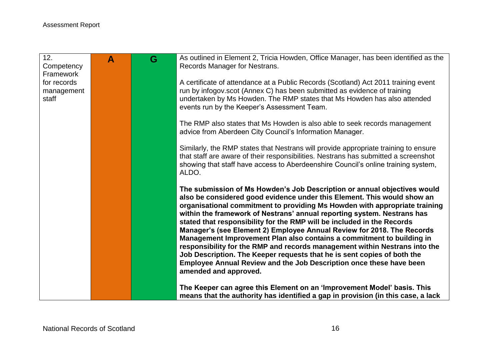| 12.<br>Competency   | $\mathbf{A}$ | G | As outlined in Element 2, Tricia Howden, Office Manager, has been identified as the<br>Records Manager for Nestrans.                                                                                                                                                                                                                                                                                                                                                                                                                                                                                                                                                                                                                                                                               |
|---------------------|--------------|---|----------------------------------------------------------------------------------------------------------------------------------------------------------------------------------------------------------------------------------------------------------------------------------------------------------------------------------------------------------------------------------------------------------------------------------------------------------------------------------------------------------------------------------------------------------------------------------------------------------------------------------------------------------------------------------------------------------------------------------------------------------------------------------------------------|
| Framework           |              |   |                                                                                                                                                                                                                                                                                                                                                                                                                                                                                                                                                                                                                                                                                                                                                                                                    |
| for records         |              |   | A certificate of attendance at a Public Records (Scotland) Act 2011 training event<br>run by infogov.scot (Annex C) has been submitted as evidence of training                                                                                                                                                                                                                                                                                                                                                                                                                                                                                                                                                                                                                                     |
| management<br>staff |              |   | undertaken by Ms Howden. The RMP states that Ms Howden has also attended<br>events run by the Keeper's Assessment Team.                                                                                                                                                                                                                                                                                                                                                                                                                                                                                                                                                                                                                                                                            |
|                     |              |   | The RMP also states that Ms Howden is also able to seek records management<br>advice from Aberdeen City Council's Information Manager.                                                                                                                                                                                                                                                                                                                                                                                                                                                                                                                                                                                                                                                             |
|                     |              |   | Similarly, the RMP states that Nestrans will provide appropriate training to ensure<br>that staff are aware of their responsibilities. Nestrans has submitted a screenshot<br>showing that staff have access to Aberdeenshire Council's online training system,<br>ALDO.                                                                                                                                                                                                                                                                                                                                                                                                                                                                                                                           |
|                     |              |   | The submission of Ms Howden's Job Description or annual objectives would<br>also be considered good evidence under this Element. This would show an<br>organisational commitment to providing Ms Howden with appropriate training<br>within the framework of Nestrans' annual reporting system. Nestrans has<br>stated that responsibility for the RMP will be included in the Records<br>Manager's (see Element 2) Employee Annual Review for 2018. The Records<br>Management Improvement Plan also contains a commitment to building in<br>responsibility for the RMP and records management within Nestrans into the<br>Job Description. The Keeper requests that he is sent copies of both the<br>Employee Annual Review and the Job Description once these have been<br>amended and approved. |
|                     |              |   | The Keeper can agree this Element on an 'Improvement Model' basis. This<br>means that the authority has identified a gap in provision (in this case, a lack                                                                                                                                                                                                                                                                                                                                                                                                                                                                                                                                                                                                                                        |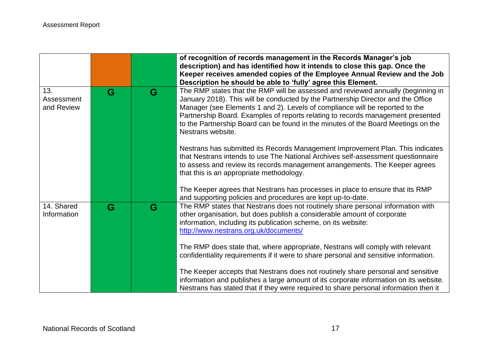|                                 |   |   | of recognition of records management in the Records Manager's job<br>description) and has identified how it intends to close this gap. Once the<br>Keeper receives amended copies of the Employee Annual Review and the Job<br>Description he should be able to 'fully' agree this Element.                                                                                                                                                       |
|---------------------------------|---|---|---------------------------------------------------------------------------------------------------------------------------------------------------------------------------------------------------------------------------------------------------------------------------------------------------------------------------------------------------------------------------------------------------------------------------------------------------|
| 13.<br>Assessment<br>and Review | G | G | The RMP states that the RMP will be assessed and reviewed annually (beginning in<br>January 2018). This will be conducted by the Partnership Director and the Office<br>Manager (see Elements 1 and 2). Levels of compliance will be reported to the<br>Partnership Board. Examples of reports relating to records management presented<br>to the Partnership Board can be found in the minutes of the Board Meetings on the<br>Nestrans website. |
|                                 |   |   | Nestrans has submitted its Records Management Improvement Plan. This indicates<br>that Nestrans intends to use The National Archives self-assessment questionnaire<br>to assess and review its records management arrangements. The Keeper agrees<br>that this is an appropriate methodology.                                                                                                                                                     |
|                                 |   |   | The Keeper agrees that Nestrans has processes in place to ensure that its RMP<br>and supporting policies and procedures are kept up-to-date.                                                                                                                                                                                                                                                                                                      |
| 14. Shared<br>Information       | G | G | The RMP states that Nestrans does not routinely share personal information with<br>other organisation, but does publish a considerable amount of corporate<br>information, including its publication scheme, on its website:<br>http://www.nestrans.org.uk/documents/                                                                                                                                                                             |
|                                 |   |   | The RMP does state that, where appropriate, Nestrans will comply with relevant<br>confidentiality requirements if it were to share personal and sensitive information.                                                                                                                                                                                                                                                                            |
|                                 |   |   | The Keeper accepts that Nestrans does not routinely share personal and sensitive<br>information and publishes a large amount of its corporate information on its website.<br>Nestrans has stated that if they were required to share personal information then it                                                                                                                                                                                 |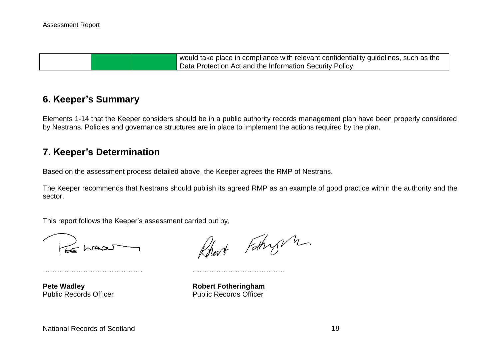would take place in compliance with relevant confidentiality guidelines, such as the Data Protection Act and the Information Security Policy.

## **6. Keeper's Summary**

Elements 1-14 that the Keeper considers should be in a public authority records management plan have been properly considered by Nestrans. Policies and governance structures are in place to implement the actions required by the plan.

### **7. Keeper's Determination**

Based on the assessment process detailed above, the Keeper agrees the RMP of Nestrans.

…………………………………… …………………………………

The Keeper recommends that Nestrans should publish its agreed RMP as an example of good practice within the authority and the sector.

This report follows the Keeper's assessment carried out by,

S maar

**Pete Wadley**<br> **Public Records Officer**<br> **Robert Fotheringham**<br> **Rublic Records Officer** 

Robert Fathry m

Public Records Officer